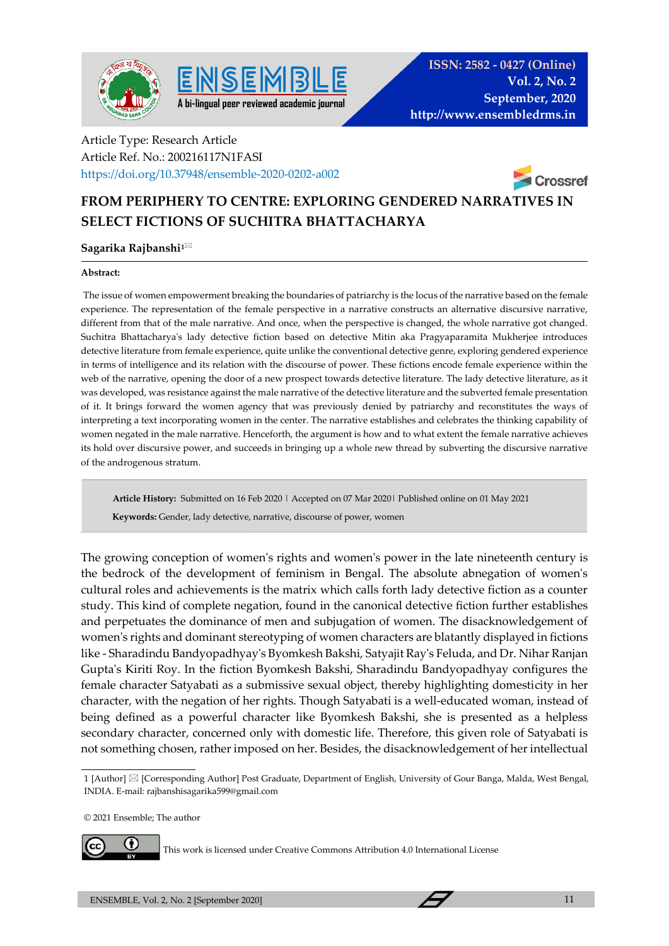



## Article Type: Research Article Article Ref. No.: 200216117N1FASI https://doi.org/10.37948/ensemble-2020-0202-a002



# **FROM PERIPHERY TO CENTRE: EXPLORING GENDERED NARRATIVES IN SELECT FICTIONS OF SUCHITRA BHATTACHARYA**

## **Sagarika Rajbanshi1**

### **Abstract:**

The issue of women empowerment breaking the boundaries of patriarchy is the locus of the narrative based on the female experience. The representation of the female perspective in a narrative constructs an alternative discursive narrative, different from that of the male narrative. And once, when the perspective is changed, the whole narrative got changed. Suchitra Bhattacharya's lady detective fiction based on detective Mitin aka Pragyaparamita Mukherjee introduces detective literature from female experience, quite unlike the conventional detective genre, exploring gendered experience in terms of intelligence and its relation with the discourse of power. These fictions encode female experience within the web of the narrative, opening the door of a new prospect towards detective literature. The lady detective literature, as it was developed, was resistance against the male narrative of the detective literature and the subverted female presentation of it. It brings forward the women agency that was previously denied by patriarchy and reconstitutes the ways of interpreting a text incorporating women in the center. The narrative establishes and celebrates the thinking capability of women negated in the male narrative. Henceforth, the argument is how and to what extent the female narrative achieves its hold over discursive power, and succeeds in bringing up a whole new thread by subverting the discursive narrative of the androgenous stratum.

**Article History:** Submitted on 16 Feb 2020 | Accepted on 07 Mar 2020| Published online on 01 May 2021

 **Keywords:** Gender, lady detective, narrative, discourse of power, women

The growing conception of women's rights and women's power in the late nineteenth century is the bedrock of the development of feminism in Bengal. The absolute abnegation of women's cultural roles and achievements is the matrix which calls forth lady detective fiction as a counter study. This kind of complete negation, found in the canonical detective fiction further establishes and perpetuates the dominance of men and subjugation of women. The disacknowledgement of women's rights and dominant stereotyping of women characters are blatantly displayed in fictions like - Sharadindu Bandyopadhyay's Byomkesh Bakshi, Satyajit Ray's Feluda, and Dr. Nihar Ranjan Gupta's Kiriti Roy. In the fiction Byomkesh Bakshi, Sharadindu Bandyopadhyay configures the female character Satyabati as a submissive sexual object, thereby highlighting domesticity in her character, with the negation of her rights. Though Satyabati is a well-educated woman, instead of being defined as a powerful character like Byomkesh Bakshi, she is presented as a helpless secondary character, concerned only with domestic life. Therefore, this given role of Satyabati is not something chosen, rather imposed on her. Besides, the disacknowledgement of her intellectual

© 2021 Ensemble; The author



This work is licensed under Creative Commons Attribution 4.0 International License

<sup>1 [</sup>Author] [Corresponding Author] Post Graduate, Department of English, University of Gour Banga, Malda, West Bengal, INDIA. E-mail: rajbanshisagarika599@gmail.com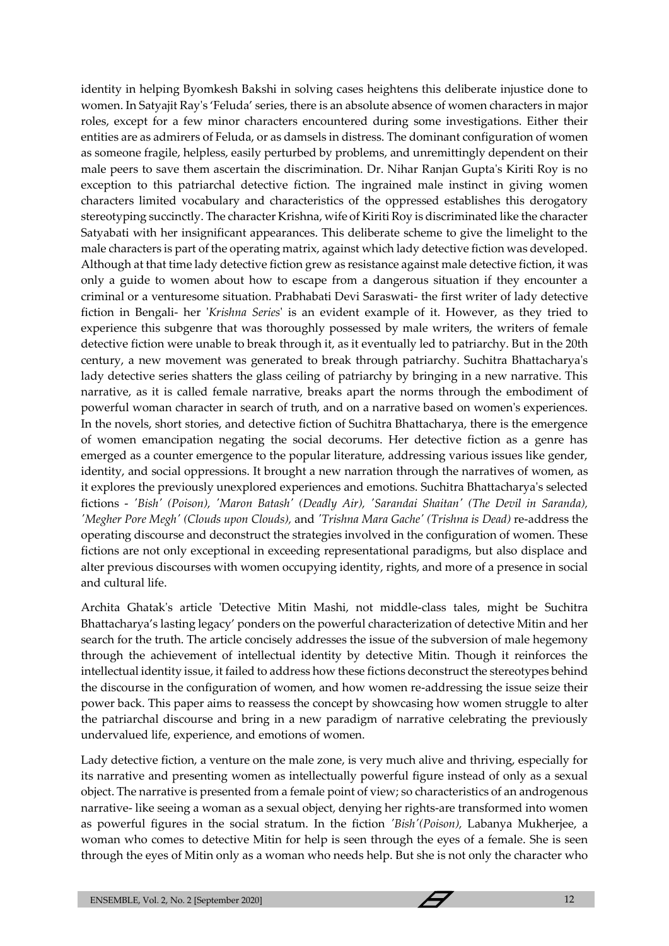identity in helping Byomkesh Bakshi in solving cases heightens this deliberate injustice done to women. In Satyajit Ray's 'Feluda' series, there is an absolute absence of women characters in major roles, except for a few minor characters encountered during some investigations. Either their entities are as admirers of Feluda, or as damsels in distress. The dominant configuration of women as someone fragile, helpless, easily perturbed by problems, and unremittingly dependent on their male peers to save them ascertain the discrimination. Dr. Nihar Ranjan Gupta's Kiriti Roy is no exception to this patriarchal detective fiction. The ingrained male instinct in giving women characters limited vocabulary and characteristics of the oppressed establishes this derogatory stereotyping succinctly. The character Krishna, wife of Kiriti Roy is discriminated like the character Satyabati with her insignificant appearances. This deliberate scheme to give the limelight to the male characters is part of the operating matrix, against which lady detective fiction was developed. Although at that time lady detective fiction grew as resistance against male detective fiction, it was only a guide to women about how to escape from a dangerous situation if they encounter a criminal or a venturesome situation. Prabhabati Devi Saraswati- the first writer of lady detective fiction in Bengali- her '*Krishna Series*' is an evident example of it. However, as they tried to experience this subgenre that was thoroughly possessed by male writers, the writers of female detective fiction were unable to break through it, as it eventually led to patriarchy. But in the 20th century, a new movement was generated to break through patriarchy. Suchitra Bhattacharya's lady detective series shatters the glass ceiling of patriarchy by bringing in a new narrative. This narrative, as it is called female narrative, breaks apart the norms through the embodiment of powerful woman character in search of truth, and on a narrative based on women's experiences. In the novels, short stories, and detective fiction of Suchitra Bhattacharya, there is the emergence of women emancipation negating the social decorums. Her detective fiction as a genre has emerged as a counter emergence to the popular literature, addressing various issues like gender, identity, and social oppressions. It brought a new narration through the narratives of women, as it explores the previously unexplored experiences and emotions. Suchitra Bhattacharya's selected fictions - *'Bish' (Poison), 'Maron Batash' (Deadly Air), 'Sarandai Shaitan' (The Devil in Saranda), 'Megher Pore Megh' (Clouds upon Clouds),* and *'Trishna Mara Gache' (Trishna is Dead)* re-address the operating discourse and deconstruct the strategies involved in the configuration of women. These fictions are not only exceptional in exceeding representational paradigms, but also displace and alter previous discourses with women occupying identity, rights, and more of a presence in social and cultural life.

Archita Ghatak's article 'Detective Mitin Mashi, not middle-class tales, might be Suchitra Bhattacharya's lasting legacy' ponders on the powerful characterization of detective Mitin and her search for the truth. The article concisely addresses the issue of the subversion of male hegemony through the achievement of intellectual identity by detective Mitin. Though it reinforces the intellectual identity issue, it failed to address how these fictions deconstruct the stereotypes behind the discourse in the configuration of women, and how women re-addressing the issue seize their power back. This paper aims to reassess the concept by showcasing how women struggle to alter the patriarchal discourse and bring in a new paradigm of narrative celebrating the previously undervalued life, experience, and emotions of women.

Lady detective fiction, a venture on the male zone, is very much alive and thriving, especially for its narrative and presenting women as intellectually powerful figure instead of only as a sexual object. The narrative is presented from a female point of view; so characteristics of an androgenous narrative- like seeing a woman as a sexual object, denying her rights-are transformed into women as powerful figures in the social stratum. In the fiction *'Bish'(Poison),* Labanya Mukherjee, a woman who comes to detective Mitin for help is seen through the eyes of a female. She is seen through the eyes of Mitin only as a woman who needs help. But she is not only the character who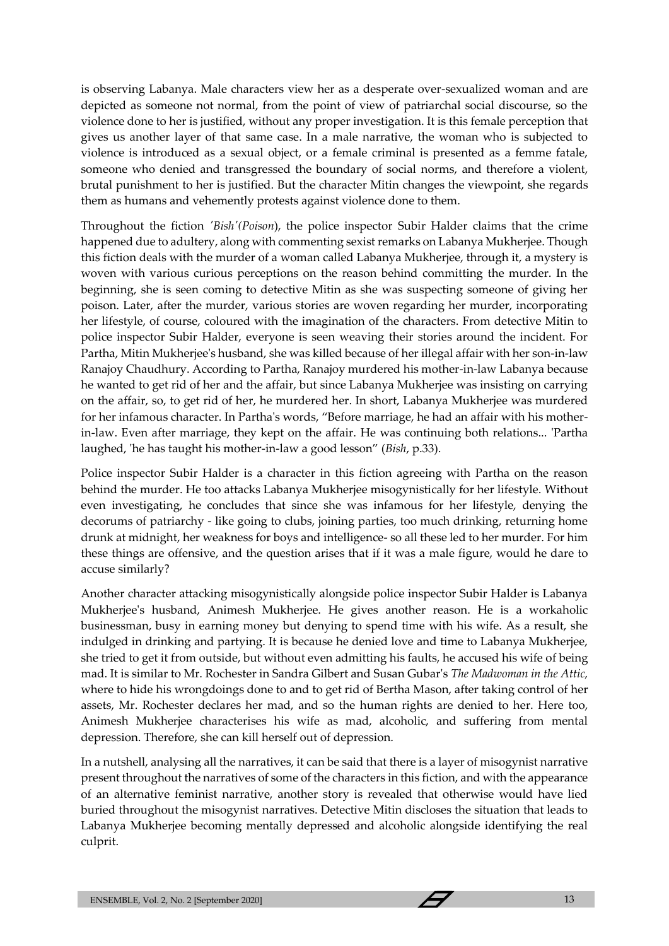is observing Labanya. Male characters view her as a desperate over-sexualized woman and are depicted as someone not normal, from the point of view of patriarchal social discourse, so the violence done to her is justified, without any proper investigation. It is this female perception that gives us another layer of that same case. In a male narrative, the woman who is subjected to violence is introduced as a sexual object, or a female criminal is presented as a femme fatale, someone who denied and transgressed the boundary of social norms, and therefore a violent, brutal punishment to her is justified. But the character Mitin changes the viewpoint, she regards them as humans and vehemently protests against violence done to them.

Throughout the fiction *'Bish'(Poison*), the police inspector Subir Halder claims that the crime happened due to adultery, along with commenting sexist remarks on Labanya Mukherjee. Though this fiction deals with the murder of a woman called Labanya Mukherjee, through it, a mystery is woven with various curious perceptions on the reason behind committing the murder. In the beginning, she is seen coming to detective Mitin as she was suspecting someone of giving her poison. Later, after the murder, various stories are woven regarding her murder, incorporating her lifestyle, of course, coloured with the imagination of the characters. From detective Mitin to police inspector Subir Halder, everyone is seen weaving their stories around the incident. For Partha, Mitin Mukherjee's husband, she was killed because of her illegal affair with her son-in-law Ranajoy Chaudhury. According to Partha, Ranajoy murdered his mother-in-law Labanya because he wanted to get rid of her and the affair, but since Labanya Mukherjee was insisting on carrying on the affair, so, to get rid of her, he murdered her. In short, Labanya Mukherjee was murdered for her infamous character. In Partha's words, "Before marriage, he had an affair with his motherin-law. Even after marriage, they kept on the affair. He was continuing both relations... 'Partha laughed, 'he has taught his mother-in-law a good lesson" (*Bish*, p.33).

Police inspector Subir Halder is a character in this fiction agreeing with Partha on the reason behind the murder. He too attacks Labanya Mukherjee misogynistically for her lifestyle. Without even investigating, he concludes that since she was infamous for her lifestyle, denying the decorums of patriarchy - like going to clubs, joining parties, too much drinking, returning home drunk at midnight, her weakness for boys and intelligence- so all these led to her murder. For him these things are offensive, and the question arises that if it was a male figure, would he dare to accuse similarly?

Another character attacking misogynistically alongside police inspector Subir Halder is Labanya Mukherjee's husband, Animesh Mukherjee. He gives another reason. He is a workaholic businessman, busy in earning money but denying to spend time with his wife. As a result, she indulged in drinking and partying. It is because he denied love and time to Labanya Mukherjee, she tried to get it from outside, but without even admitting his faults, he accused his wife of being mad. It is similar to Mr. Rochester in Sandra Gilbert and Susan Gubar's *The Madwoman in the Attic,*  where to hide his wrongdoings done to and to get rid of Bertha Mason, after taking control of her assets, Mr. Rochester declares her mad, and so the human rights are denied to her. Here too, Animesh Mukherjee characterises his wife as mad, alcoholic, and suffering from mental depression. Therefore, she can kill herself out of depression.

In a nutshell, analysing all the narratives, it can be said that there is a layer of misogynist narrative present throughout the narratives of some of the characters in this fiction, and with the appearance of an alternative feminist narrative, another story is revealed that otherwise would have lied buried throughout the misogynist narratives. Detective Mitin discloses the situation that leads to Labanya Mukherjee becoming mentally depressed and alcoholic alongside identifying the real culprit.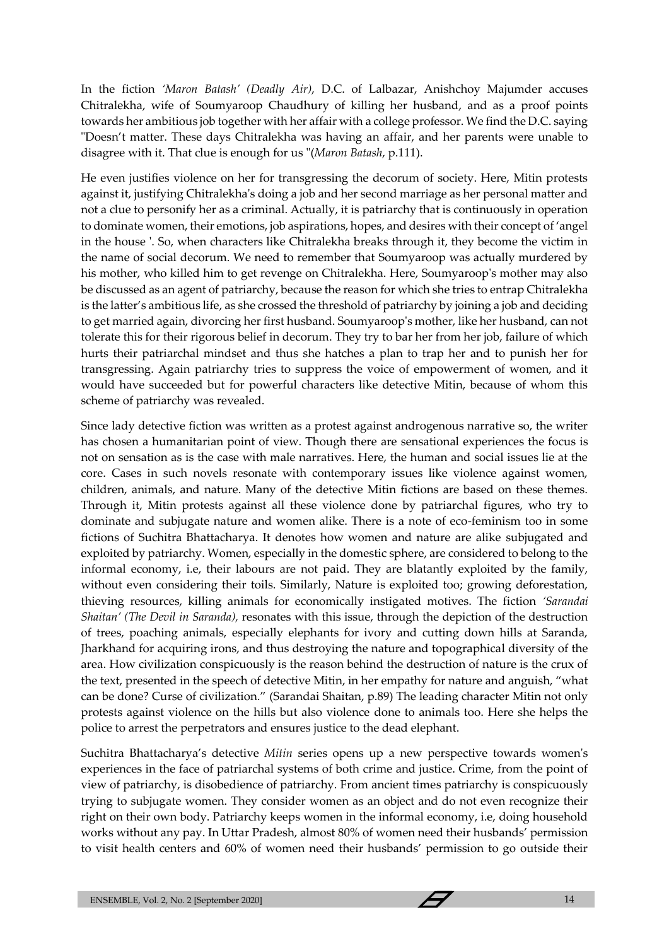In the fiction *'Maron Batash' (Deadly Air)*, D.C. of Lalbazar, Anishchoy Majumder accuses Chitralekha, wife of Soumyaroop Chaudhury of killing her husband, and as a proof points towards her ambitious job together with her affair with a college professor. We find the D.C. saying "Doesn't matter. These days Chitralekha was having an affair, and her parents were unable to disagree with it. That clue is enough for us "(*Maron Batash*, p.111).

He even justifies violence on her for transgressing the decorum of society. Here, Mitin protests against it, justifying Chitralekha's doing a job and her second marriage as her personal matter and not a clue to personify her as a criminal. Actually, it is patriarchy that is continuously in operation to dominate women, their emotions, job aspirations, hopes, and desires with their concept of 'angel in the house '. So, when characters like Chitralekha breaks through it, they become the victim in the name of social decorum. We need to remember that Soumyaroop was actually murdered by his mother, who killed him to get revenge on Chitralekha. Here, Soumyaroop's mother may also be discussed as an agent of patriarchy, because the reason for which she tries to entrap Chitralekha is the latter's ambitious life, as she crossed the threshold of patriarchy by joining a job and deciding to get married again, divorcing her first husband. Soumyaroop's mother, like her husband, can not tolerate this for their rigorous belief in decorum. They try to bar her from her job, failure of which hurts their patriarchal mindset and thus she hatches a plan to trap her and to punish her for transgressing. Again patriarchy tries to suppress the voice of empowerment of women, and it would have succeeded but for powerful characters like detective Mitin, because of whom this scheme of patriarchy was revealed.

Since lady detective fiction was written as a protest against androgenous narrative so, the writer has chosen a humanitarian point of view. Though there are sensational experiences the focus is not on sensation as is the case with male narratives. Here, the human and social issues lie at the core. Cases in such novels resonate with contemporary issues like violence against women, children, animals, and nature. Many of the detective Mitin fictions are based on these themes. Through it, Mitin protests against all these violence done by patriarchal figures, who try to dominate and subjugate nature and women alike. There is a note of eco-feminism too in some fictions of Suchitra Bhattacharya. It denotes how women and nature are alike subjugated and exploited by patriarchy. Women, especially in the domestic sphere, are considered to belong to the informal economy, i.e, their labours are not paid. They are blatantly exploited by the family, without even considering their toils. Similarly, Nature is exploited too; growing deforestation, thieving resources, killing animals for economically instigated motives. The fiction *'Sarandai Shaitan' (The Devil in Saranda),* resonates with this issue, through the depiction of the destruction of trees, poaching animals, especially elephants for ivory and cutting down hills at Saranda, Jharkhand for acquiring irons, and thus destroying the nature and topographical diversity of the area. How civilization conspicuously is the reason behind the destruction of nature is the crux of the text, presented in the speech of detective Mitin, in her empathy for nature and anguish, "what can be done? Curse of civilization." (Sarandai Shaitan, p.89) The leading character Mitin not only protests against violence on the hills but also violence done to animals too. Here she helps the police to arrest the perpetrators and ensures justice to the dead elephant.

Suchitra Bhattacharya's detective *Mitin* series opens up a new perspective towards women's experiences in the face of patriarchal systems of both crime and justice. Crime, from the point of view of patriarchy, is disobedience of patriarchy. From ancient times patriarchy is conspicuously trying to subjugate women. They consider women as an object and do not even recognize their right on their own body. Patriarchy keeps women in the informal economy, i.e, doing household works without any pay. In Uttar Pradesh, almost 80% of women need their husbands' permission to visit health centers and 60% of women need their husbands' permission to go outside their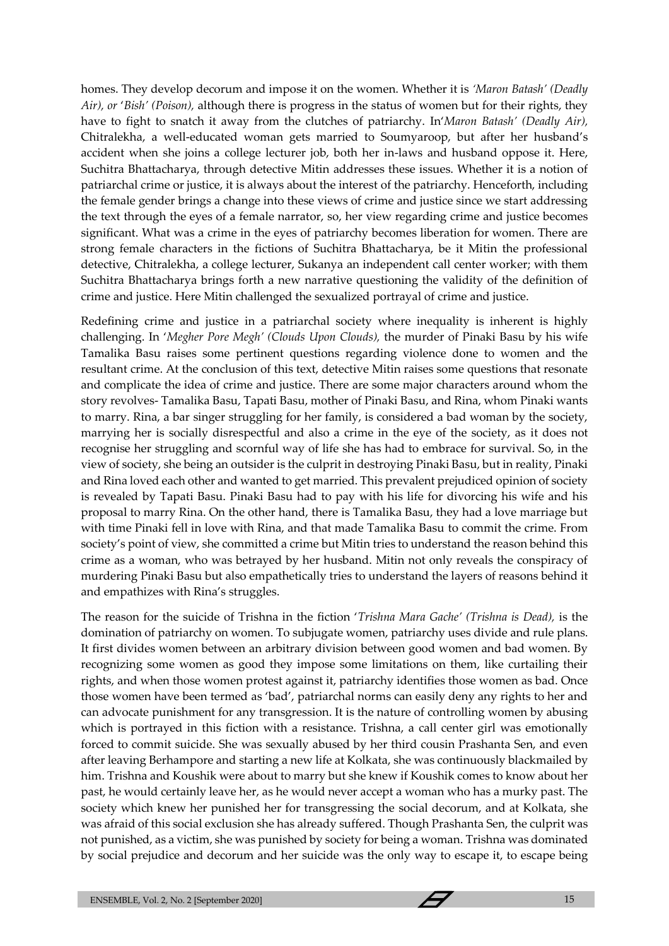homes. They develop decorum and impose it on the women. Whether it is *'Maron Batash' (Deadly Air), or* '*Bish' (Poison),* although there is progress in the status of women but for their rights, they have to fight to snatch it away from the clutches of patriarchy. In'*Maron Batash' (Deadly Air),*  Chitralekha, a well-educated woman gets married to Soumyaroop, but after her husband's accident when she joins a college lecturer job, both her in-laws and husband oppose it. Here, Suchitra Bhattacharya, through detective Mitin addresses these issues. Whether it is a notion of patriarchal crime or justice, it is always about the interest of the patriarchy. Henceforth, including the female gender brings a change into these views of crime and justice since we start addressing the text through the eyes of a female narrator, so, her view regarding crime and justice becomes significant. What was a crime in the eyes of patriarchy becomes liberation for women. There are strong female characters in the fictions of Suchitra Bhattacharya, be it Mitin the professional detective, Chitralekha, a college lecturer, Sukanya an independent call center worker; with them Suchitra Bhattacharya brings forth a new narrative questioning the validity of the definition of crime and justice. Here Mitin challenged the sexualized portrayal of crime and justice.

Redefining crime and justice in a patriarchal society where inequality is inherent is highly challenging. In '*Megher Pore Megh' (Clouds Upon Clouds),* the murder of Pinaki Basu by his wife Tamalika Basu raises some pertinent questions regarding violence done to women and the resultant crime. At the conclusion of this text, detective Mitin raises some questions that resonate and complicate the idea of crime and justice. There are some major characters around whom the story revolves- Tamalika Basu, Tapati Basu, mother of Pinaki Basu, and Rina, whom Pinaki wants to marry. Rina, a bar singer struggling for her family, is considered a bad woman by the society, marrying her is socially disrespectful and also a crime in the eye of the society, as it does not recognise her struggling and scornful way of life she has had to embrace for survival. So, in the view of society, she being an outsider is the culprit in destroying Pinaki Basu, but in reality, Pinaki and Rina loved each other and wanted to get married. This prevalent prejudiced opinion of society is revealed by Tapati Basu. Pinaki Basu had to pay with his life for divorcing his wife and his proposal to marry Rina. On the other hand, there is Tamalika Basu, they had a love marriage but with time Pinaki fell in love with Rina, and that made Tamalika Basu to commit the crime. From society's point of view, she committed a crime but Mitin tries to understand the reason behind this crime as a woman, who was betrayed by her husband. Mitin not only reveals the conspiracy of murdering Pinaki Basu but also empathetically tries to understand the layers of reasons behind it and empathizes with Rina's struggles.

The reason for the suicide of Trishna in the fiction '*Trishna Mara Gache' (Trishna is Dead),* is the domination of patriarchy on women. To subjugate women, patriarchy uses divide and rule plans. It first divides women between an arbitrary division between good women and bad women. By recognizing some women as good they impose some limitations on them, like curtailing their rights, and when those women protest against it, patriarchy identifies those women as bad. Once those women have been termed as 'bad', patriarchal norms can easily deny any rights to her and can advocate punishment for any transgression. It is the nature of controlling women by abusing which is portrayed in this fiction with a resistance. Trishna, a call center girl was emotionally forced to commit suicide. She was sexually abused by her third cousin Prashanta Sen, and even after leaving Berhampore and starting a new life at Kolkata, she was continuously blackmailed by him. Trishna and Koushik were about to marry but she knew if Koushik comes to know about her past, he would certainly leave her, as he would never accept a woman who has a murky past. The society which knew her punished her for transgressing the social decorum, and at Kolkata, she was afraid of this social exclusion she has already suffered. Though Prashanta Sen, the culprit was not punished, as a victim, she was punished by society for being a woman. Trishna was dominated by social prejudice and decorum and her suicide was the only way to escape it, to escape being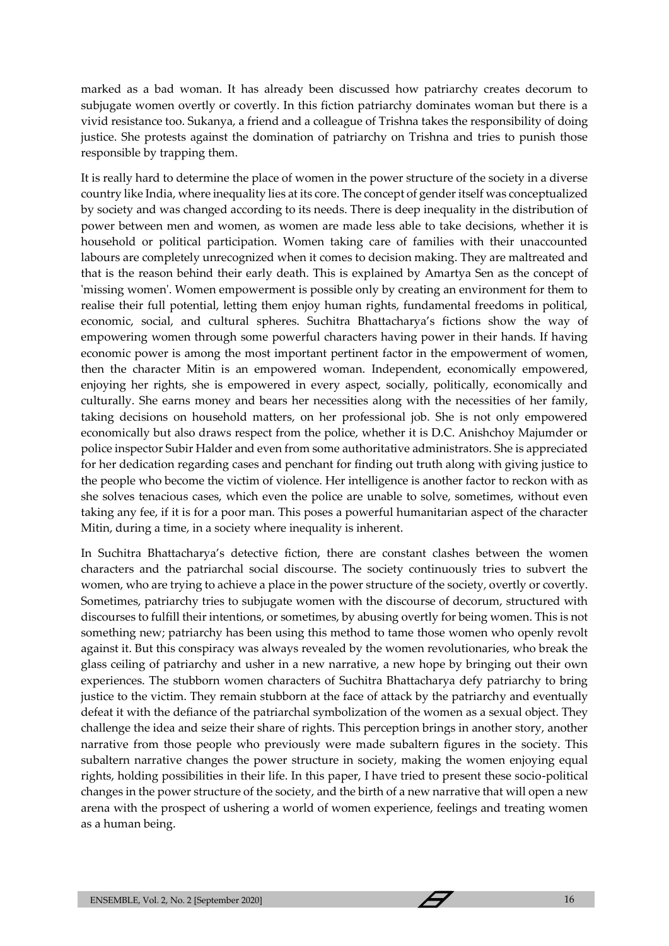marked as a bad woman. It has already been discussed how patriarchy creates decorum to subjugate women overtly or covertly. In this fiction patriarchy dominates woman but there is a vivid resistance too. Sukanya, a friend and a colleague of Trishna takes the responsibility of doing justice. She protests against the domination of patriarchy on Trishna and tries to punish those responsible by trapping them.

It is really hard to determine the place of women in the power structure of the society in a diverse country like India, where inequality lies at its core. The concept of gender itself was conceptualized by society and was changed according to its needs. There is deep inequality in the distribution of power between men and women, as women are made less able to take decisions, whether it is household or political participation. Women taking care of families with their unaccounted labours are completely unrecognized when it comes to decision making. They are maltreated and that is the reason behind their early death. This is explained by Amartya Sen as the concept of 'missing women'. Women empowerment is possible only by creating an environment for them to realise their full potential, letting them enjoy human rights, fundamental freedoms in political, economic, social, and cultural spheres. Suchitra Bhattacharya's fictions show the way of empowering women through some powerful characters having power in their hands. If having economic power is among the most important pertinent factor in the empowerment of women, then the character Mitin is an empowered woman. Independent, economically empowered, enjoying her rights, she is empowered in every aspect, socially, politically, economically and culturally. She earns money and bears her necessities along with the necessities of her family, taking decisions on household matters, on her professional job. She is not only empowered economically but also draws respect from the police, whether it is D.C. Anishchoy Majumder or police inspector Subir Halder and even from some authoritative administrators. She is appreciated for her dedication regarding cases and penchant for finding out truth along with giving justice to the people who become the victim of violence. Her intelligence is another factor to reckon with as she solves tenacious cases, which even the police are unable to solve, sometimes, without even taking any fee, if it is for a poor man. This poses a powerful humanitarian aspect of the character Mitin, during a time, in a society where inequality is inherent.

In Suchitra Bhattacharya's detective fiction, there are constant clashes between the women characters and the patriarchal social discourse. The society continuously tries to subvert the women, who are trying to achieve a place in the power structure of the society, overtly or covertly. Sometimes, patriarchy tries to subjugate women with the discourse of decorum, structured with discourses to fulfill their intentions, or sometimes, by abusing overtly for being women. This is not something new; patriarchy has been using this method to tame those women who openly revolt against it. But this conspiracy was always revealed by the women revolutionaries, who break the glass ceiling of patriarchy and usher in a new narrative, a new hope by bringing out their own experiences. The stubborn women characters of Suchitra Bhattacharya defy patriarchy to bring justice to the victim. They remain stubborn at the face of attack by the patriarchy and eventually defeat it with the defiance of the patriarchal symbolization of the women as a sexual object. They challenge the idea and seize their share of rights. This perception brings in another story, another narrative from those people who previously were made subaltern figures in the society. This subaltern narrative changes the power structure in society, making the women enjoying equal rights, holding possibilities in their life. In this paper, I have tried to present these socio-political changes in the power structure of the society, and the birth of a new narrative that will open a new arena with the prospect of ushering a world of women experience, feelings and treating women as a human being.